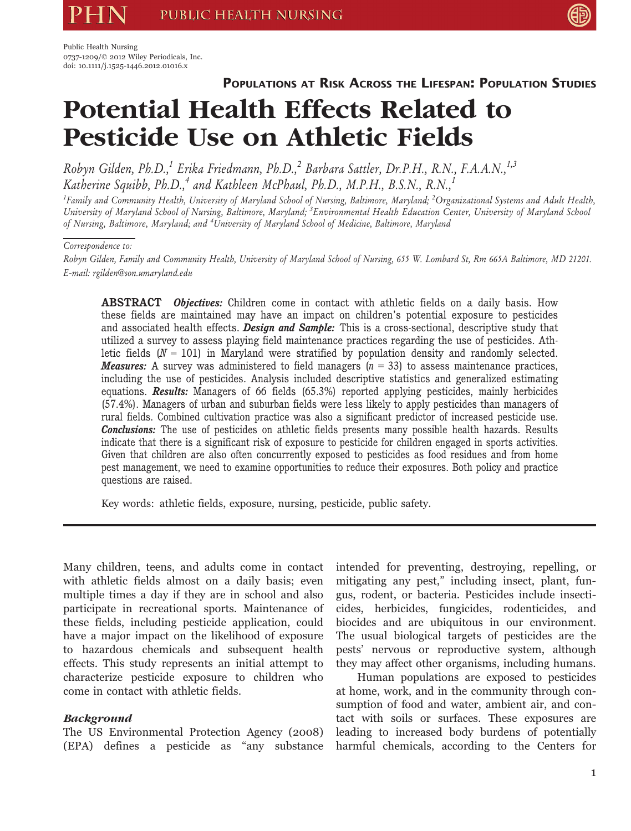Public Health Nursing 0737-1209/© 2012 Wiley Periodicals, Inc. doi: 10.1111/j.1525-1446.2012.01016.x

## POPULATIONS AT RISK ACROSS THE LIFESPAN: POPULATION STUDIES

# Potential Health Effects Related to Pesticide Use on Athletic Fields

Robyn Gilden, Ph.D.,<sup>1</sup> Erika Friedmann, Ph.D.,<sup>2</sup> Barbara Sattler, Dr.P.H., R.N., F.A.A.N.,<sup>1,3</sup> Katherine Squibb, Ph.D.,<sup>4</sup> and Kathleen McPhaul, Ph.D., M.P.H., B.S.N., R.N.,<sup>1</sup>

<sup>1</sup>Family and Community Health, University of Maryland School of Nursing, Baltimore, Maryland; <sup>2</sup>Organizational Systems and Adult Health, University of Maryland School of Nursing, Baltimore, Maryland; <sup>3</sup>Environmental Health Education Center, University of Maryland School of Nursing, Baltimore, Maryland; and <sup>4</sup>University of Maryland School of Medicine, Baltimore, Maryland

#### Correspondence to:

Robyn Gilden, Family and Community Health, University of Maryland School of Nursing, 655 W. Lombard St, Rm 665A Baltimore, MD 21201. E-mail: rgilden@son.umaryland.edu

**ABSTRACT** Objectives: Children come in contact with athletic fields on a daily basis. How these fields are maintained may have an impact on children's potential exposure to pesticides and associated health effects. **Design and Sample:** This is a cross-sectional, descriptive study that utilized a survey to assess playing field maintenance practices regarding the use of pesticides. Athletic fields  $(N = 101)$  in Maryland were stratified by population density and randomly selected. **Measures:** A survey was administered to field managers  $(n = 33)$  to assess maintenance practices, including the use of pesticides. Analysis included descriptive statistics and generalized estimating equations. Results: Managers of 66 fields (65.3%) reported applying pesticides, mainly herbicides (57.4%). Managers of urban and suburban fields were less likely to apply pesticides than managers of rural fields. Combined cultivation practice was also a significant predictor of increased pesticide use. **Conclusions:** The use of pesticides on athletic fields presents many possible health hazards. Results indicate that there is a significant risk of exposure to pesticide for children engaged in sports activities. Given that children are also often concurrently exposed to pesticides as food residues and from home pest management, we need to examine opportunities to reduce their exposures. Both policy and practice questions are raised.

Key words: athletic fields, exposure, nursing, pesticide, public safety.

Many children, teens, and adults come in contact with athletic fields almost on a daily basis; even multiple times a day if they are in school and also participate in recreational sports. Maintenance of these fields, including pesticide application, could have a major impact on the likelihood of exposure to hazardous chemicals and subsequent health effects. This study represents an initial attempt to characterize pesticide exposure to children who come in contact with athletic fields.

### **Background**

The US Environmental Protection Agency (2008) (EPA) defines a pesticide as "any substance intended for preventing, destroying, repelling, or mitigating any pest," including insect, plant, fungus, rodent, or bacteria. Pesticides include insecticides, herbicides, fungicides, rodenticides, and biocides and are ubiquitous in our environment. The usual biological targets of pesticides are the pests' nervous or reproductive system, although they may affect other organisms, including humans.

Human populations are exposed to pesticides at home, work, and in the community through consumption of food and water, ambient air, and contact with soils or surfaces. These exposures are leading to increased body burdens of potentially harmful chemicals, according to the Centers for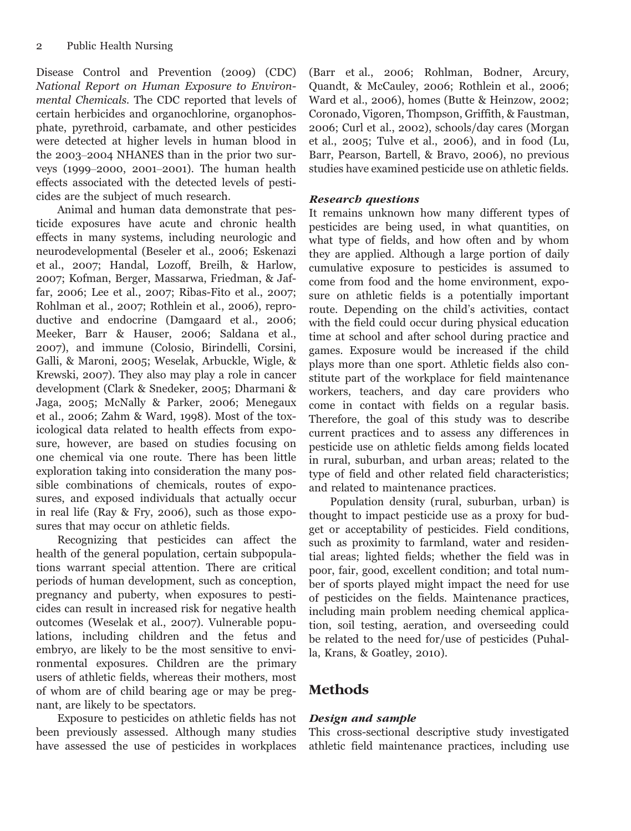Disease Control and Prevention (2009) (CDC) National Report on Human Exposure to Environmental Chemicals. The CDC reported that levels of certain herbicides and organochlorine, organophosphate, pyrethroid, carbamate, and other pesticides were detected at higher levels in human blood in the 2003–2004 NHANES than in the prior two surveys (1999–2000, 2001–2001). The human health effects associated with the detected levels of pesticides are the subject of much research.

Animal and human data demonstrate that pesticide exposures have acute and chronic health effects in many systems, including neurologic and neurodevelopmental (Beseler et al., 2006; Eskenazi et al., 2007; Handal, Lozoff, Breilh, & Harlow, 2007; Kofman, Berger, Massarwa, Friedman, & Jaffar, 2006; Lee et al., 2007; Ribas-Fito et al., 2007; Rohlman et al., 2007; Rothlein et al., 2006), reproductive and endocrine (Damgaard et al., 2006; Meeker, Barr & Hauser, 2006; Saldana et al., 2007), and immune (Colosio, Birindelli, Corsini, Galli, & Maroni, 2005; Weselak, Arbuckle, Wigle, & Krewski, 2007). They also may play a role in cancer development (Clark & Snedeker, 2005; Dharmani & Jaga, 2005; McNally & Parker, 2006; Menegaux et al., 2006; Zahm & Ward, 1998). Most of the toxicological data related to health effects from exposure, however, are based on studies focusing on one chemical via one route. There has been little exploration taking into consideration the many possible combinations of chemicals, routes of exposures, and exposed individuals that actually occur in real life (Ray & Fry, 2006), such as those exposures that may occur on athletic fields.

Recognizing that pesticides can affect the health of the general population, certain subpopulations warrant special attention. There are critical periods of human development, such as conception, pregnancy and puberty, when exposures to pesticides can result in increased risk for negative health outcomes (Weselak et al., 2007). Vulnerable populations, including children and the fetus and embryo, are likely to be the most sensitive to environmental exposures. Children are the primary users of athletic fields, whereas their mothers, most of whom are of child bearing age or may be pregnant, are likely to be spectators.

Exposure to pesticides on athletic fields has not been previously assessed. Although many studies have assessed the use of pesticides in workplaces

(Barr et al., 2006; Rohlman, Bodner, Arcury, Quandt, & McCauley, 2006; Rothlein et al., 2006; Ward et al., 2006), homes (Butte & Heinzow, 2002; Coronado, Vigoren, Thompson, Griffith, & Faustman, 2006; Curl et al., 2002), schools/day cares (Morgan et al., 2005; Tulve et al., 2006), and in food (Lu, Barr, Pearson, Bartell, & Bravo, 2006), no previous studies have examined pesticide use on athletic fields.

### Research questions

It remains unknown how many different types of pesticides are being used, in what quantities, on what type of fields, and how often and by whom they are applied. Although a large portion of daily cumulative exposure to pesticides is assumed to come from food and the home environment, exposure on athletic fields is a potentially important route. Depending on the child's activities, contact with the field could occur during physical education time at school and after school during practice and games. Exposure would be increased if the child plays more than one sport. Athletic fields also constitute part of the workplace for field maintenance workers, teachers, and day care providers who come in contact with fields on a regular basis. Therefore, the goal of this study was to describe current practices and to assess any differences in pesticide use on athletic fields among fields located in rural, suburban, and urban areas; related to the type of field and other related field characteristics; and related to maintenance practices.

Population density (rural, suburban, urban) is thought to impact pesticide use as a proxy for budget or acceptability of pesticides. Field conditions, such as proximity to farmland, water and residential areas; lighted fields; whether the field was in poor, fair, good, excellent condition; and total number of sports played might impact the need for use of pesticides on the fields. Maintenance practices, including main problem needing chemical application, soil testing, aeration, and overseeding could be related to the need for/use of pesticides (Puhalla, Krans, & Goatley, 2010).

# Methods

### Design and sample

This cross-sectional descriptive study investigated athletic field maintenance practices, including use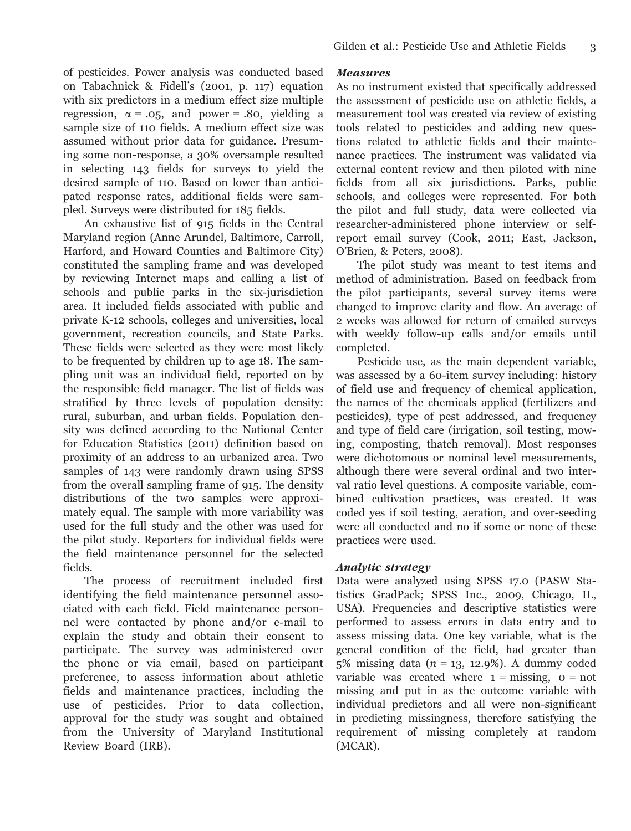of pesticides. Power analysis was conducted based on Tabachnick & Fidell's (2001, p. 117) equation with six predictors in a medium effect size multiple regression,  $\alpha = .05$ , and power = .80, yielding a sample size of 110 fields. A medium effect size was assumed without prior data for guidance. Presuming some non-response, a 30% oversample resulted in selecting 143 fields for surveys to yield the desired sample of 110. Based on lower than anticipated response rates, additional fields were sampled. Surveys were distributed for 185 fields.

An exhaustive list of 915 fields in the Central Maryland region (Anne Arundel, Baltimore, Carroll, Harford, and Howard Counties and Baltimore City) constituted the sampling frame and was developed by reviewing Internet maps and calling a list of schools and public parks in the six-jurisdiction area. It included fields associated with public and private K-12 schools, colleges and universities, local government, recreation councils, and State Parks. These fields were selected as they were most likely to be frequented by children up to age 18. The sampling unit was an individual field, reported on by the responsible field manager. The list of fields was stratified by three levels of population density: rural, suburban, and urban fields. Population density was defined according to the National Center for Education Statistics (2011) definition based on proximity of an address to an urbanized area. Two samples of 143 were randomly drawn using SPSS from the overall sampling frame of 915. The density distributions of the two samples were approximately equal. The sample with more variability was used for the full study and the other was used for the pilot study. Reporters for individual fields were the field maintenance personnel for the selected fields.

The process of recruitment included first identifying the field maintenance personnel associated with each field. Field maintenance personnel were contacted by phone and/or e-mail to explain the study and obtain their consent to participate. The survey was administered over the phone or via email, based on participant preference, to assess information about athletic fields and maintenance practices, including the use of pesticides. Prior to data collection, approval for the study was sought and obtained from the University of Maryland Institutional Review Board (IRB).

#### Measures

As no instrument existed that specifically addressed the assessment of pesticide use on athletic fields, a measurement tool was created via review of existing tools related to pesticides and adding new questions related to athletic fields and their maintenance practices. The instrument was validated via external content review and then piloted with nine fields from all six jurisdictions. Parks, public schools, and colleges were represented. For both the pilot and full study, data were collected via researcher-administered phone interview or selfreport email survey (Cook, 2011; East, Jackson, O'Brien, & Peters, 2008).

The pilot study was meant to test items and method of administration. Based on feedback from the pilot participants, several survey items were changed to improve clarity and flow. An average of 2 weeks was allowed for return of emailed surveys with weekly follow-up calls and/or emails until completed.

Pesticide use, as the main dependent variable, was assessed by a 60-item survey including: history of field use and frequency of chemical application, the names of the chemicals applied (fertilizers and pesticides), type of pest addressed, and frequency and type of field care (irrigation, soil testing, mowing, composting, thatch removal). Most responses were dichotomous or nominal level measurements, although there were several ordinal and two interval ratio level questions. A composite variable, combined cultivation practices, was created. It was coded yes if soil testing, aeration, and over-seeding were all conducted and no if some or none of these practices were used.

#### Analytic strategy

Data were analyzed using SPSS 17.0 (PASW Statistics GradPack; SPSS Inc., 2009, Chicago, IL, USA). Frequencies and descriptive statistics were performed to assess errors in data entry and to assess missing data. One key variable, what is the general condition of the field, had greater than 5% missing data ( $n = 13$ , 12.9%). A dummy coded variable was created where  $1 = \text{missing}$ ,  $0 = \text{not}$ missing and put in as the outcome variable with individual predictors and all were non-significant in predicting missingness, therefore satisfying the requirement of missing completely at random (MCAR).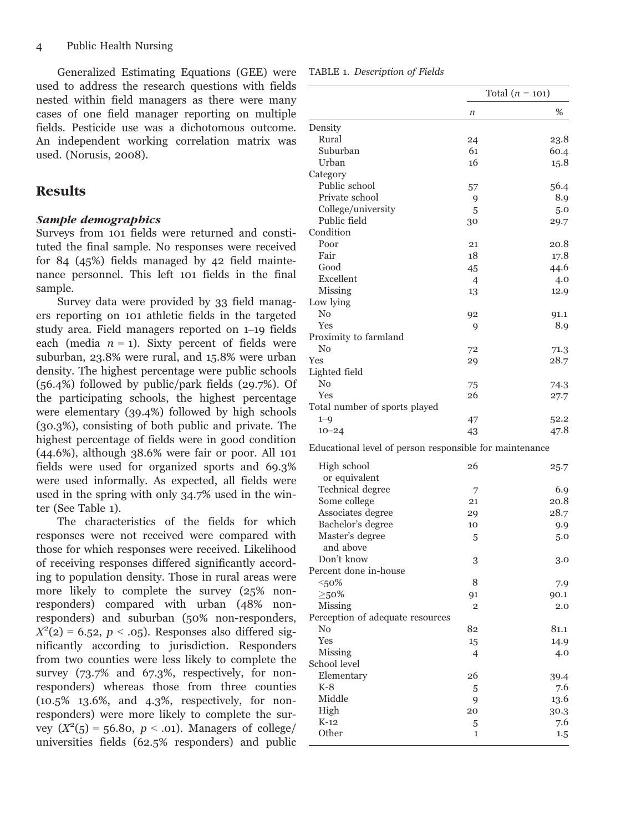Generalized Estimating Equations (GEE) were TABLE 1. Description of Fields used to address the research questions with fields nested within field managers as there were many cases of one field manager reporting on multiple fields. Pesticide use was a dichotomous outcome. An independent working correlation matrix was used. (Norusis, 2008).

# **Results**

### Sample demographics

Surveys from 101 fields were returned and constituted the final sample. No responses were received for 84 (45%) fields managed by 42 field maintenance personnel. This left 101 fields in the final sample.

Survey data were provided by 33 field managers reporting on 101 athletic fields in the targeted study area. Field managers reported on 1–19 fields each (media  $n = 1$ ). Sixty percent of fields were suburban, 23.8% were rural, and 15.8% were urban density. The highest percentage were public schools (56.4%) followed by public/park fields (29.7%). Of the participating schools, the highest percentage were elementary (39.4%) followed by high schools (30.3%), consisting of both public and private. The highest percentage of fields were in good condition (44.6%), although 38.6% were fair or poor. All 101 fields were used for organized sports and 69.3% were used informally. As expected, all fields were used in the spring with only 34.7% used in the winter (See Table 1).

The characteristics of the fields for which responses were not received were compared with those for which responses were received. Likelihood of receiving responses differed significantly according to population density. Those in rural areas were more likely to complete the survey (25% nonresponders) compared with urban (48% nonresponders) and suburban (50% non-responders,  $X^2(2) = 6.52$ ,  $p < .05$ ). Responses also differed significantly according to jurisdiction. Responders from two counties were less likely to complete the survey (73.7% and 67.3%, respectively, for nonresponders) whereas those from three counties (10.5% 13.6%, and 4.3%, respectively, for nonresponders) were more likely to complete the survey  $(X^2(5) = 56.80, p < .01)$ . Managers of college/ universities fields (62.5% responders) and public

|                                                         |                | Total $(n = 101)$ |  |
|---------------------------------------------------------|----------------|-------------------|--|
|                                                         | n              | %                 |  |
| Density                                                 |                |                   |  |
| Rural                                                   | 24             | 23.8              |  |
| Suburban                                                | 61             | 60.4              |  |
| Urban                                                   | 16             | 15.8              |  |
| Category                                                |                |                   |  |
| Public school                                           | 57             | 56.4              |  |
| Private school                                          | 9              | 8.9               |  |
| College/university                                      | 5              | 5.0               |  |
| Public field                                            | 30             | 29.7              |  |
| Condition                                               |                |                   |  |
| Poor                                                    | 21             | 20.8              |  |
| Fair                                                    | 18             | 17.8              |  |
| Good                                                    | 45             | 44.6              |  |
| Excellent                                               | $\overline{4}$ | 4.0               |  |
| Missing                                                 | 13             | 12.9              |  |
| Low lying                                               |                |                   |  |
| No                                                      | 92             | 91.1              |  |
| Yes                                                     | 9              | 8.9               |  |
| Proximity to farmland                                   |                |                   |  |
| No                                                      | 72             | 71.3              |  |
| <b>Yes</b>                                              | 29             | 28.7              |  |
| Lighted field                                           |                |                   |  |
| No                                                      | 75             | 74.3              |  |
| Yes                                                     | 26             | 27.7              |  |
| Total number of sports played                           |                |                   |  |
| $1 - 9$                                                 | 47             | 52.2              |  |
| $10 - 24$                                               | 43             | 47.8              |  |
| Educational level of person responsible for maintenance |                |                   |  |
| High school                                             | 26             | 25.7              |  |
| or equivalent                                           |                |                   |  |
| Technical degree                                        | 7              | 6.9               |  |
| Some college                                            | 21             | 20.8              |  |
| Associates degree                                       | 29             | 28.7              |  |
| Bachelor's degree                                       | 10             | 9.9               |  |
| Master's degree                                         | 5              | 5.0               |  |
| and above                                               |                |                   |  |
| Don't know                                              | 3              | 3.0               |  |
| Percent done in-house                                   |                |                   |  |
| $<50\%$                                                 | 8              | 7.9               |  |
| $\geq$ 50%                                              | 91             | 90.1              |  |
| Missing                                                 | $\overline{2}$ | 2.0               |  |
| Perception of adequate resources                        |                |                   |  |
| No                                                      | 82             | 81.1              |  |
| Yes                                                     | 15             | 14.9              |  |
| Missing                                                 | 4              | 4.0               |  |
| School level                                            |                |                   |  |
| Elementary                                              | 26             | 39.4              |  |
| $K-8$                                                   | 5              | 7.6               |  |
| Middle                                                  | 9              | 13.6              |  |
| High                                                    | 20             | 30.3              |  |
| $K-12$                                                  | 5              | 7.6               |  |
| Other                                                   | 1              | 1.5               |  |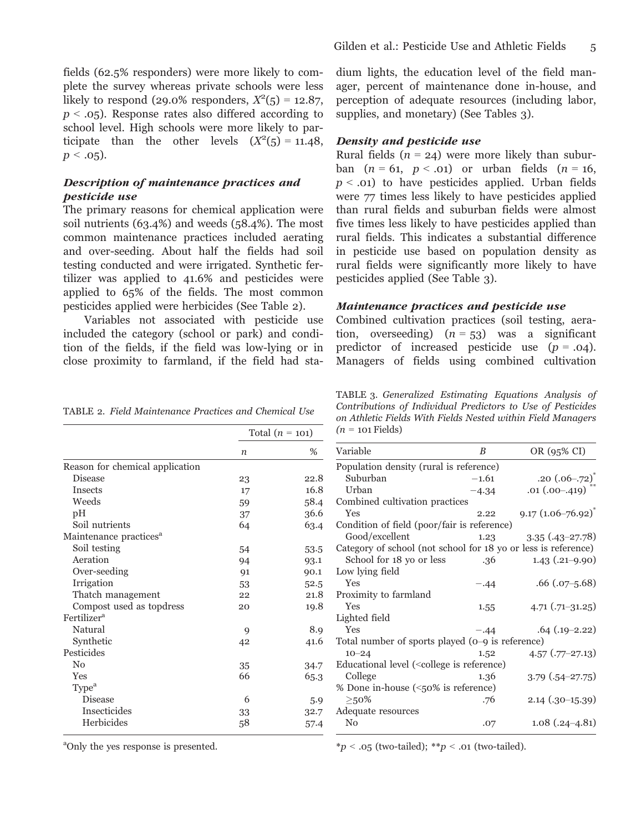fields (62.5% responders) were more likely to complete the survey whereas private schools were less likely to respond (29.0% responders,  $X^2(5) = 12.87$ ,  $p < .05$ ). Response rates also differed according to school level. High schools were more likely to participate than the other levels  $(X^2(5) = 11.48,$  $p < .05$ ).

### Description of maintenance practices and pesticide use

The primary reasons for chemical application were soil nutrients  $(63.4\%)$  and weeds  $(58.4\%)$ . The most common maintenance practices included aerating and over-seeding. About half the fields had soil testing conducted and were irrigated. Synthetic fertilizer was applied to 41.6% and pesticides were applied to 65% of the fields. The most common pesticides applied were herbicides (See Table 2).

Variables not associated with pesticide use included the category (school or park) and condition of the fields, if the field was low-lying or in close proximity to farmland, if the field had sta-

dium lights, the education level of the field manager, percent of maintenance done in-house, and perception of adequate resources (including labor, supplies, and monetary) (See Tables 3).

### Density and pesticide use

Rural fields  $(n = 24)$  were more likely than suburban  $(n = 61, p < .01)$  or urban fields  $(n = 16,$  $p < .01$ ) to have pesticides applied. Urban fields were 77 times less likely to have pesticides applied than rural fields and suburban fields were almost five times less likely to have pesticides applied than rural fields. This indicates a substantial difference in pesticide use based on population density as rural fields were significantly more likely to have pesticides applied (See Table 3).

#### Maintenance practices and pesticide use

Combined cultivation practices (soil testing, aeration, overseeding)  $(n = 53)$  was a significant predictor of increased pesticide use  $(p = .04)$ . Managers of fields using combined cultivation

TABLE 2. Field Maintenance Practices and Chemical Use

| Total $(n = 101)$ |    |                                    |
|-------------------|----|------------------------------------|
| %                 | n  |                                    |
|                   |    | Reason for chemical application    |
| 22.8              | 23 | <b>Disease</b>                     |
| 16.8              | 17 | <b>Insects</b>                     |
| 58.4              | 59 | Weeds                              |
| 36.6              | 37 | pH                                 |
| 63.4              | 64 | Soil nutrients                     |
|                   |    | Maintenance practices <sup>a</sup> |
| 53.5              | 54 | Soil testing                       |
| 93.1              | 94 | Aeration                           |
| 90.1              | 91 | Over-seeding                       |
| 52.5              | 53 | Irrigation                         |
| 21.8              | 22 | Thatch management                  |
| 19.8              | 20 | Compost used as topdress           |
|                   |    | Fertilizer <sup>a</sup>            |
| 8.9               | 9  | Natural                            |
| 41.6              | 42 | Synthetic                          |
|                   |    | Pesticides                         |
| 34.7              | 35 | No                                 |
| 65.3              | 66 | Yes                                |
|                   |    |                                    |
| 5.9               | 6  | <b>Disease</b>                     |
| 32.7              |    | <b>Insecticides</b>                |
| 57.4              | 58 | Herbicides                         |
|                   | 33 | Type <sup>a</sup>                  |

TABLE 3. Generalized Estimating Equations Analysis of Contributions of Individual Predictors to Use of Pesticides on Athletic Fields With Fields Nested within Field Managers  $(n = 101$  Fields)

| Variable                                                                             | B       | OR (95% CI)                   |
|--------------------------------------------------------------------------------------|---------|-------------------------------|
| Population density (rural is reference)                                              |         |                               |
| Suburban                                                                             | $-1.61$ | $.20(.06-.72)^{*}$            |
| Urban                                                                                | $-4.34$ | $.01(.00-.419)$ <sup>**</sup> |
| Combined cultivation practices                                                       |         |                               |
| Yes                                                                                  | 2.22    | $9.17$ $(1.06 - 76.92)^{*}$   |
| Condition of field (poor/fair is reference)                                          |         |                               |
| Good/excellent                                                                       | 1.23    | $3.35(0.43 - 27.78)$          |
| Category of school (not school for 18 yo or less is reference)                       |         |                               |
| School for 18 yo or less                                                             | .36     | $1.43$ $(.21-9.90)$           |
| Low lying field                                                                      |         |                               |
| Yes                                                                                  | $-.44$  | $.66$ $(.07-5.68)$            |
| Proximity to farmland                                                                |         |                               |
| Yes                                                                                  | 1.55    | $4.71$ $(.71-31.25)$          |
| Lighted field                                                                        |         |                               |
| Yes                                                                                  | $-.44$  | $.64$ $(.19-2.22)$            |
| Total number of sports played (0-9 is reference)                                     |         |                               |
| $10 - 24$                                                                            | 1.52    | $4.57$ $(.77-27.13)$          |
| Educational level ( <college is="" reference)<="" td=""><td></td><td></td></college> |         |                               |
| College                                                                              | 1.36    | $3.79$ $(.54-27.75)$          |
| % Done in-house (<50% is reference)                                                  |         |                               |
| $>50\%$                                                                              | .76     | $2.14$ $(.30-15.39)$          |
| Adequate resources                                                                   |         |                               |
| No                                                                                   | .07     | $1.08$ $(.24-4.81)$           |

a Only the yes response is presented.

 $**p* < .05$  (two-tailed);  $**p* < .01$  (two-tailed).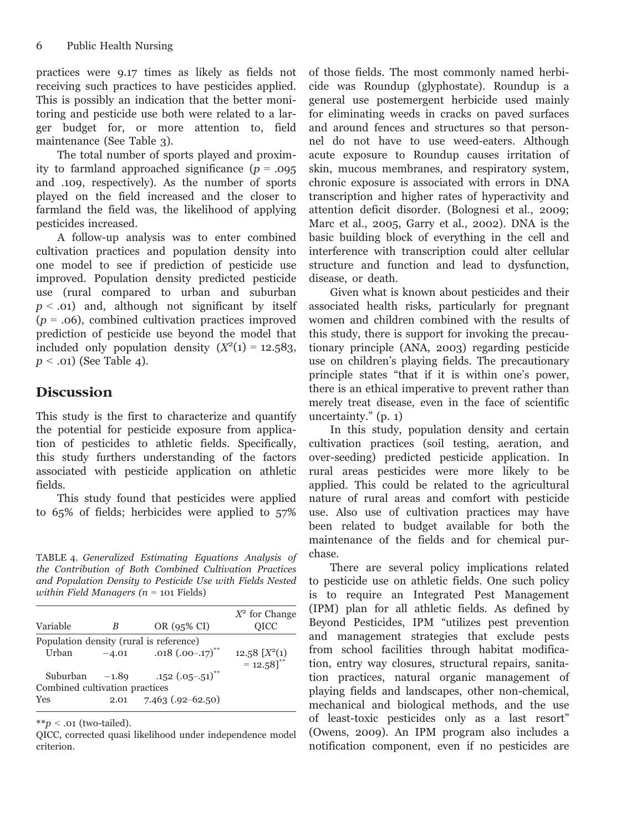practices were 9.17 times as likely as fields not receiving such practices to have pesticides applied. This is possibly an indication that the better monitoring and pesticide use both were related to a larger budget for, or more attention to, field maintenance (See Table 3).

The total number of sports played and proximity to farmland approached significance  $(p = .095$ and .109, respectively). As the number of sports played on the field increased and the closer to farmland the field was, the likelihood of applying pesticides increased.

A follow-up analysis was to enter combined cultivation practices and population density into one model to see if prediction of pesticide use improved. Population density predicted pesticide use (rural compared to urban and suburban  $p < .01$ ) and, although not significant by itself  $(p = .06)$ , combined cultivation practices improved prediction of pesticide use beyond the model that included only population density  $(X^2(1) = 12.583,$  $p < .01$ ) (See Table 4).

# **Discussion**

This study is the first to characterize and quantify the potential for pesticide exposure from application of pesticides to athletic fields. Specifically, this study furthers understanding of the factors associated with pesticide application on athletic fields.

This study found that pesticides were applied to 65% of fields; herbicides were applied to 57%

TABLE 4. Generalized Estimating Equations Analysis of the Contribution of Both Combined Cultivation Practices and Population Density to Pesticide Use with Fields Nested within Field Managers ( $n = 101$  Fields)

| OR (95% CI)<br>Variable<br><b>OICC</b><br>B<br>Population density (rural is reference)<br>$.018(.00-.17)$ <sup>**</sup><br>Urban<br>$-4.01$<br>$= 12.58$ ] <sup>**</sup><br>$.152$ $(.05-.51)$ <sup>**</sup><br>Suburban $-1.89$<br>Combined cultivation practices<br>$2.01$ $7.463$ (.92-62.50)<br>Yes |  |                  |
|---------------------------------------------------------------------------------------------------------------------------------------------------------------------------------------------------------------------------------------------------------------------------------------------------------|--|------------------|
|                                                                                                                                                                                                                                                                                                         |  | $X^2$ for Change |
|                                                                                                                                                                                                                                                                                                         |  |                  |
|                                                                                                                                                                                                                                                                                                         |  | 12.58 $[X^2(1)$  |
|                                                                                                                                                                                                                                                                                                         |  |                  |
|                                                                                                                                                                                                                                                                                                         |  |                  |
|                                                                                                                                                                                                                                                                                                         |  |                  |

\*\*p  $\le$  .01 (two-tailed).

QICC, corrected quasi likelihood under independence model criterion.

of those fields. The most commonly named herbicide was Roundup (glyphostate). Roundup is a general use postemergent herbicide used mainly for eliminating weeds in cracks on paved surfaces and around fences and structures so that personnel do not have to use weed-eaters. Although acute exposure to Roundup causes irritation of skin, mucous membranes, and respiratory system, chronic exposure is associated with errors in DNA transcription and higher rates of hyperactivity and attention deficit disorder. (Bolognesi et al., 2009; Marc et al., 2005, Garry et al., 2002). DNA is the basic building block of everything in the cell and interference with transcription could alter cellular structure and function and lead to dysfunction, disease, or death.

Given what is known about pesticides and their associated health risks, particularly for pregnant women and children combined with the results of this study, there is support for invoking the precautionary principle (ANA, 2003) regarding pesticide use on children's playing fields. The precautionary principle states "that if it is within one's power, there is an ethical imperative to prevent rather than merely treat disease, even in the face of scientific uncertainty." (p. 1)

In this study, population density and certain cultivation practices (soil testing, aeration, and over-seeding) predicted pesticide application. In rural areas pesticides were more likely to be applied. This could be related to the agricultural nature of rural areas and comfort with pesticide use. Also use of cultivation practices may have been related to budget available for both the maintenance of the fields and for chemical purchase.

There are several policy implications related to pesticide use on athletic fields. One such policy is to require an Integrated Pest Management (IPM) plan for all athletic fields. As defined by Beyond Pesticides, IPM "utilizes pest prevention and management strategies that exclude pests from school facilities through habitat modification, entry way closures, structural repairs, sanitation practices, natural organic management of playing fields and landscapes, other non-chemical, mechanical and biological methods, and the use of least-toxic pesticides only as a last resort" (Owens, 2009). An IPM program also includes a notification component, even if no pesticides are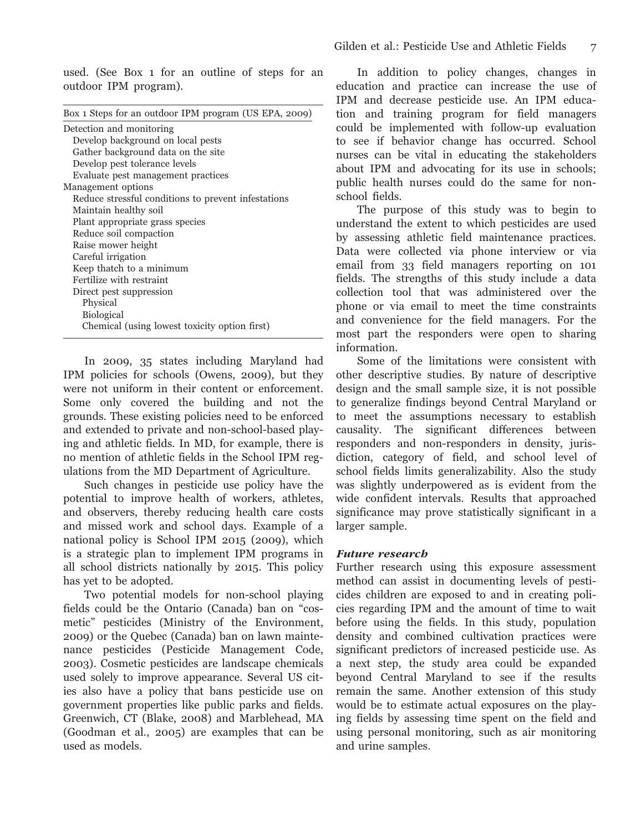used. (See Box 1 for an outline of steps for an outdoor IPM program).

| Box 1 Steps for an outdoor IPM program (US EPA, 2009) |
|-------------------------------------------------------|
| Detection and monitoring                              |
| Develop background on local pests                     |
| Gather background data on the site                    |
| Develop pest tolerance levels                         |
| Evaluate pest management practices                    |
| Management options                                    |
| Reduce stressful conditions to prevent infestations   |
| Maintain healthy soil                                 |
| Plant appropriate grass species                       |
| Reduce soil compaction                                |
| Raise mower height                                    |
| Careful irrigation                                    |
| Keep thatch to a minimum                              |
| Fertilize with restraint                              |
| Direct pest suppression                               |
| Physical                                              |
| <b>Biological</b>                                     |
| Chemical (using lowest toxicity option first)         |

In 2009, 35 states including Maryland had IPM policies for schools (Owens, 2009), but they were not uniform in their content or enforcement. Some only covered the building and not the grounds. These existing policies need to be enforced and extended to private and non-school-based playing and athletic fields. In MD, for example, there is no mention of athletic fields in the School IPM regulations from the MD Department of Agriculture.

Such changes in pesticide use policy have the potential to improve health of workers, athletes, and observers, thereby reducing health care costs and missed work and school days. Example of a national policy is School IPM 2015 (2009), which is a strategic plan to implement IPM programs in all school districts nationally by 2015. This policy has yet to be adopted.

Two potential models for non-school playing fields could be the Ontario (Canada) ban on "cosmetic" pesticides (Ministry of the Environment, 2009) or the Quebec (Canada) ban on lawn maintenance pesticides (Pesticide Management Code, 2003). Cosmetic pesticides are landscape chemicals used solely to improve appearance. Several US cities also have a policy that bans pesticide use on government properties like public parks and fields. Greenwich, CT (Blake, 2008) and Marblehead, MA (Goodman et al., 2005) are examples that can be used as models.

In addition to policy changes, changes in education and practice can increase the use of IPM and decrease pesticide use. An IPM education and training program for field managers could be implemented with follow-up evaluation to see if behavior change has occurred. School nurses can be vital in educating the stakeholders about IPM and advocating for its use in schools; public health nurses could do the same for nonschool fields.

The purpose of this study was to begin to understand the extent to which pesticides are used by assessing athletic field maintenance practices. Data were collected via phone interview or via email from 33 field managers reporting on 101 fields. The strengths of this study include a data collection tool that was administered over the phone or via email to meet the time constraints and convenience for the field managers. For the most part the responders were open to sharing information.

Some of the limitations were consistent with other descriptive studies. By nature of descriptive design and the small sample size, it is not possible to generalize findings beyond Central Maryland or to meet the assumptions necessary to establish causality. The significant differences between responders and non-responders in density, jurisdiction, category of field, and school level of school fields limits generalizability. Also the study was slightly underpowered as is evident from the wide confident intervals. Results that approached significance may prove statistically significant in a larger sample.

### Future research

Further research using this exposure assessment method can assist in documenting levels of pesticides children are exposed to and in creating policies regarding IPM and the amount of time to wait before using the fields. In this study, population density and combined cultivation practices were significant predictors of increased pesticide use. As a next step, the study area could be expanded beyond Central Maryland to see if the results remain the same. Another extension of this study would be to estimate actual exposures on the playing fields by assessing time spent on the field and using personal monitoring, such as air monitoring and urine samples.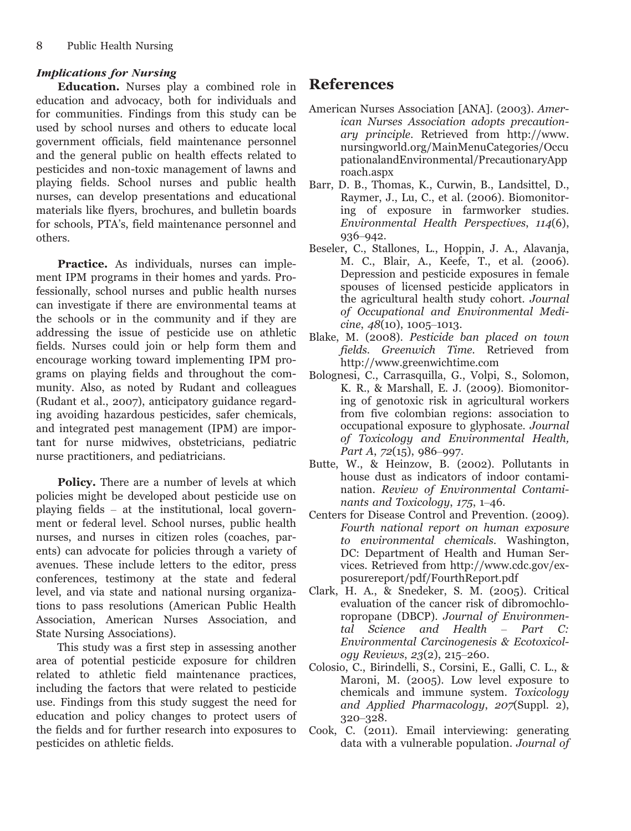### Implications for Nursing

Education. Nurses play a combined role in education and advocacy, both for individuals and for communities. Findings from this study can be used by school nurses and others to educate local government officials, field maintenance personnel and the general public on health effects related to pesticides and non-toxic management of lawns and playing fields. School nurses and public health nurses, can develop presentations and educational materials like flyers, brochures, and bulletin boards for schools, PTA's, field maintenance personnel and others.

Practice. As individuals, nurses can implement IPM programs in their homes and yards. Professionally, school nurses and public health nurses can investigate if there are environmental teams at the schools or in the community and if they are addressing the issue of pesticide use on athletic fields. Nurses could join or help form them and encourage working toward implementing IPM programs on playing fields and throughout the community. Also, as noted by Rudant and colleagues (Rudant et al., 2007), anticipatory guidance regarding avoiding hazardous pesticides, safer chemicals, and integrated pest management (IPM) are important for nurse midwives, obstetricians, pediatric nurse practitioners, and pediatricians.

Policy. There are a number of levels at which policies might be developed about pesticide use on playing fields – at the institutional, local government or federal level. School nurses, public health nurses, and nurses in citizen roles (coaches, parents) can advocate for policies through a variety of avenues. These include letters to the editor, press conferences, testimony at the state and federal level, and via state and national nursing organizations to pass resolutions (American Public Health Association, American Nurses Association, and State Nursing Associations).

This study was a first step in assessing another area of potential pesticide exposure for children related to athletic field maintenance practices, including the factors that were related to pesticide use. Findings from this study suggest the need for education and policy changes to protect users of the fields and for further research into exposures to pesticides on athletic fields.

# References

- American Nurses Association [ANA]. (2003). American Nurses Association adopts precautionary principle. Retrieved from http://www. nursingworld.org/MainMenuCategories/Occu pationalandEnvironmental/PrecautionaryApp roach.aspx
- Barr, D. B., Thomas, K., Curwin, B., Landsittel, D., Raymer, J., Lu, C., et al. (2006). Biomonitoring of exposure in farmworker studies. Environmental Health Perspectives, 114(6), 936–942.
- Beseler, C., Stallones, L., Hoppin, J. A., Alavanja, M. C., Blair, A., Keefe, T., et al. (2006). Depression and pesticide exposures in female spouses of licensed pesticide applicators in the agricultural health study cohort. Journal of Occupational and Environmental Medicine,  $48(10)$ , 1005-1013.
- Blake, M. (2008). Pesticide ban placed on town fields. Greenwich Time. Retrieved from http://www.greenwichtime.com
- Bolognesi, C., Carrasquilla, G., Volpi, S., Solomon, K. R., & Marshall, E. J. (2009). Biomonitoring of genotoxic risk in agricultural workers from five colombian regions: association to occupational exposure to glyphosate. Journal of Toxicology and Environmental Health, Part A, 72(15), 986-997.
- Butte, W., & Heinzow, B. (2002). Pollutants in house dust as indicators of indoor contamination. Review of Environmental Contaminants and Toxicology, 175, 1–46.
- Centers for Disease Control and Prevention. (2009). Fourth national report on human exposure to environmental chemicals. Washington, DC: Department of Health and Human Services. Retrieved from http://www.cdc.gov/exposurereport/pdf/FourthReport.pdf
- Clark, H. A., & Snedeker, S. M. (2005). Critical evaluation of the cancer risk of dibromochloropropane (DBCP). Journal of Environmental Science and Health – Part C: Environmental Carcinogenesis & Ecotoxicology Reviews, 23(2), 215–260.
- Colosio, C., Birindelli, S., Corsini, E., Galli, C. L., & Maroni, M. (2005). Low level exposure to chemicals and immune system. Toxicology and Applied Pharmacology, 207(Suppl. 2), 320–328.
- Cook, C. (2011). Email interviewing: generating data with a vulnerable population. Journal of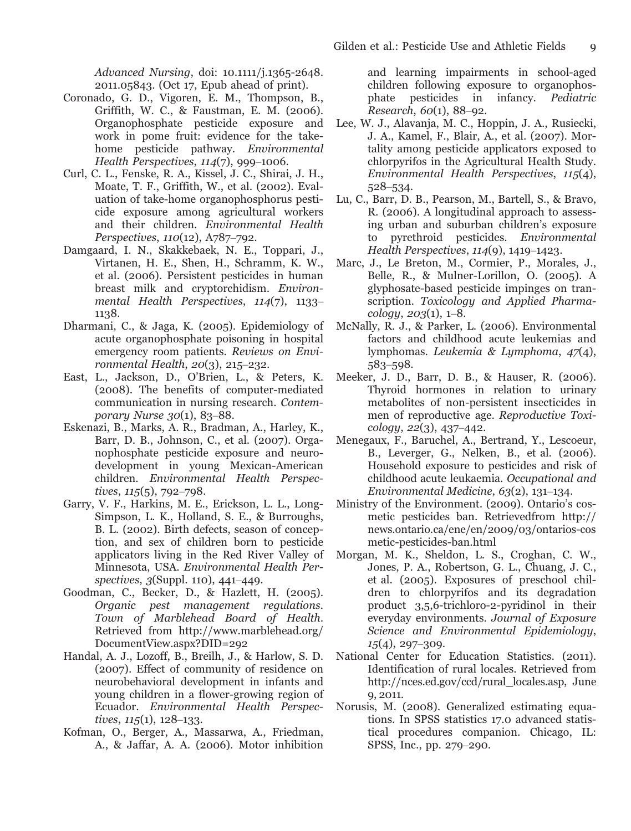Advanced Nursing, doi: 10.1111/j.1365-2648. 2011.05843. (Oct 17, Epub ahead of print).

- Coronado, G. D., Vigoren, E. M., Thompson, B., Griffith, W. C., & Faustman, E. M. (2006). Organophosphate pesticide exposure and work in pome fruit: evidence for the takehome pesticide pathway. Environmental Health Perspectives, 114(7), 999–1006.
- Curl, C. L., Fenske, R. A., Kissel, J. C., Shirai, J. H., Moate, T. F., Griffith, W., et al. (2002). Evaluation of take-home organophosphorus pesticide exposure among agricultural workers and their children. Environmental Health Perspectives, 110(12), A787–792.
- Damgaard, I. N., Skakkebaek, N. E., Toppari, J., Virtanen, H. E., Shen, H., Schramm, K. W., et al. (2006). Persistent pesticides in human breast milk and cryptorchidism. Environmental Health Perspectives, 114(7), 1133– 1138.
- Dharmani, C., & Jaga, K. (2005). Epidemiology of acute organophosphate poisoning in hospital emergency room patients. Reviews on Environmental Health, 20(3), 215–232.
- East, L., Jackson, D., O'Brien, L., & Peters, K. (2008). The benefits of computer-mediated communication in nursing research. Contemporary Nurse 30(1), 83–88.
- Eskenazi, B., Marks, A. R., Bradman, A., Harley, K., Barr, D. B., Johnson, C., et al. (2007). Organophosphate pesticide exposure and neurodevelopment in young Mexican-American children. Environmental Health Perspectives, 115(5), 792–798.
- Garry, V. F., Harkins, M. E., Erickson, L. L., Long-Simpson, L. K., Holland, S. E., & Burroughs, B. L. (2002). Birth defects, season of conception, and sex of children born to pesticide applicators living in the Red River Valley of Minnesota, USA. Environmental Health Perspectives, 3(Suppl. 110), 441–449.
- Goodman, C., Becker, D., & Hazlett, H. (2005). Organic pest management regulations. Town of Marblehead Board of Health. Retrieved from http://www.marblehead.org/ DocumentView.aspx?DID=292
- Handal, A. J., Lozoff, B., Breilh, J., & Harlow, S. D. (2007). Effect of community of residence on neurobehavioral development in infants and young children in a flower-growing region of Ecuador. Environmental Health Perspectives, 115(1), 128–133.
- Kofman, O., Berger, A., Massarwa, A., Friedman, A., & Jaffar, A. A. (2006). Motor inhibition

and learning impairments in school-aged children following exposure to organophosphate pesticides in infancy. Pediatric Research, 60(1), 88–92.

- Lee, W. J., Alavanja, M. C., Hoppin, J. A., Rusiecki, J. A., Kamel, F., Blair, A., et al. (2007). Mortality among pesticide applicators exposed to chlorpyrifos in the Agricultural Health Study. Environmental Health Perspectives, 115(4), 528–534.
- Lu, C., Barr, D. B., Pearson, M., Bartell, S., & Bravo, R. (2006). A longitudinal approach to assessing urban and suburban children's exposure to pyrethroid pesticides. Environmental Health Perspectives, 114(9), 1419–1423.
- Marc, J., Le Breton, M., Cormier, P., Morales, J., Belle, R., & Mulner-Lorillon, O. (2005). A glyphosate-based pesticide impinges on transcription. Toxicology and Applied Pharmacology, 203(1), 1–8.
- McNally, R. J., & Parker, L. (2006). Environmental factors and childhood acute leukemias and lymphomas. Leukemia & Lymphoma, 47(4), 583–598.
- Meeker, J. D., Barr, D. B., & Hauser, R. (2006). Thyroid hormones in relation to urinary metabolites of non-persistent insecticides in men of reproductive age. Reproductive Toxicology, 22(3), 437–442.
- Menegaux, F., Baruchel, A., Bertrand, Y., Lescoeur, B., Leverger, G., Nelken, B., et al. (2006). Household exposure to pesticides and risk of childhood acute leukaemia. Occupational and Environmental Medicine, 63(2), 131–134.
- Ministry of the Environment. (2009). Ontario's cosmetic pesticides ban. Retrievedfrom http:// news.ontario.ca/ene/en/2009/03/ontarios-cos metic-pesticides-ban.html
- Morgan, M. K., Sheldon, L. S., Croghan, C. W., Jones, P. A., Robertson, G. L., Chuang, J. C., et al. (2005). Exposures of preschool children to chlorpyrifos and its degradation product 3,5,6-trichloro-2-pyridinol in their everyday environments. Journal of Exposure Science and Environmental Epidemiology,  $15(4)$ , 297-309.
- National Center for Education Statistics. (2011). Identification of rural locales. Retrieved from http://nces.ed.gov/ccd/rural\_locales.asp, June 9, 2011.
- Norusis, M. (2008). Generalized estimating equations. In SPSS statistics 17.0 advanced statistical procedures companion. Chicago, IL: SPSS, Inc., pp. 279–290.